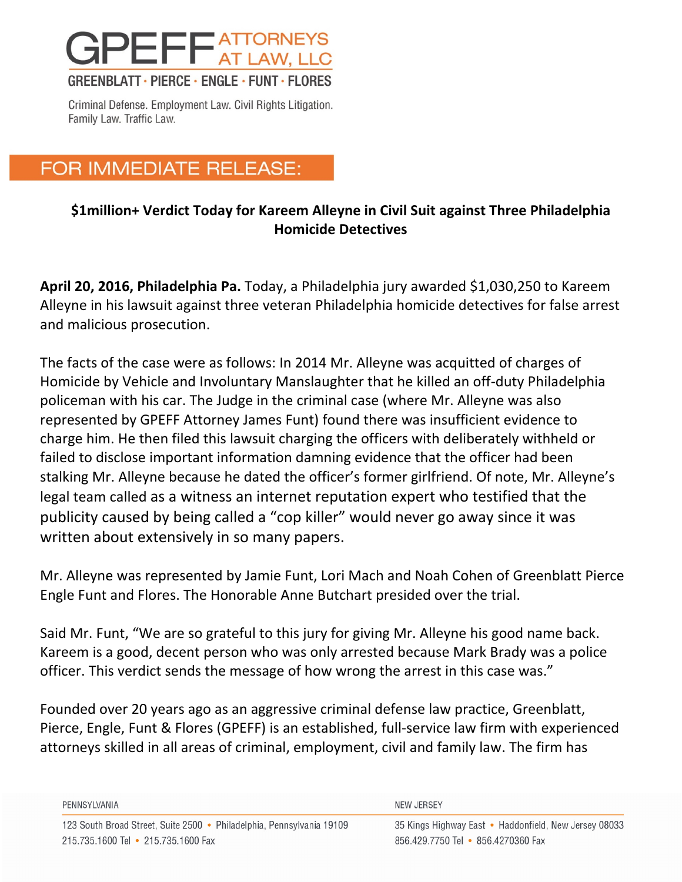

Criminal Defense. Employment Law. Civil Rights Litigation. Family Law. Traffic Law.

## FOR IMMEDIATE RELEASE:

## **\$1million+ Verdict Today for Kareem Alleyne in Civil Suit against Three Philadelphia Homicide Detectives**

**April 20, 2016, Philadelphia Pa.** Today, a Philadelphia jury awarded \$1,030,250 to Kareem Alleyne in his lawsuit against three veteran Philadelphia homicide detectives for false arrest and malicious prosecution.

The facts of the case were as follows: In 2014 Mr. Alleyne was acquitted of charges of Homicide by Vehicle and Involuntary Manslaughter that he killed an off-duty Philadelphia policeman with his car. The Judge in the criminal case (where Mr. Alleyne was also represented by GPEFF Attorney James Funt) found there was insufficient evidence to charge him. He then filed this lawsuit charging the officers with deliberately withheld or failed to disclose important information damning evidence that the officer had been stalking Mr. Alleyne because he dated the officer's former girlfriend. Of note, Mr. Alleyne's legal team called as a witness an internet reputation expert who testified that the publicity caused by being called a "cop killer" would never go away since it was written about extensively in so many papers.

Mr. Alleyne was represented by Jamie Funt, Lori Mach and Noah Cohen of Greenblatt Pierce Engle Funt and Flores. The Honorable Anne Butchart presided over the trial.

Said Mr. Funt, "We are so grateful to this jury for giving Mr. Alleyne his good name back. Kareem is a good, decent person who was only arrested because Mark Brady was a police officer. This verdict sends the message of how wrong the arrest in this case was."

Founded over 20 years ago as an aggressive criminal defense law practice, Greenblatt, Pierce, Engle, Funt & Flores (GPEFF) is an established, full-service law firm with experienced attorneys skilled in all areas of criminal, employment, civil and family law. The firm has

| PENNSYLVANIA                                                          | NEW JERSEY                                            |
|-----------------------------------------------------------------------|-------------------------------------------------------|
| 123 South Broad Street, Suite 2500 • Philadelphia, Pennsylvania 19109 | 35 Kings Highway East • Haddonfield, New Jersey 08033 |
| 215.735.1600 Tel • 215.735.1600 Fax                                   | 856.429.7750 Tel • 856.4270360 Fax                    |